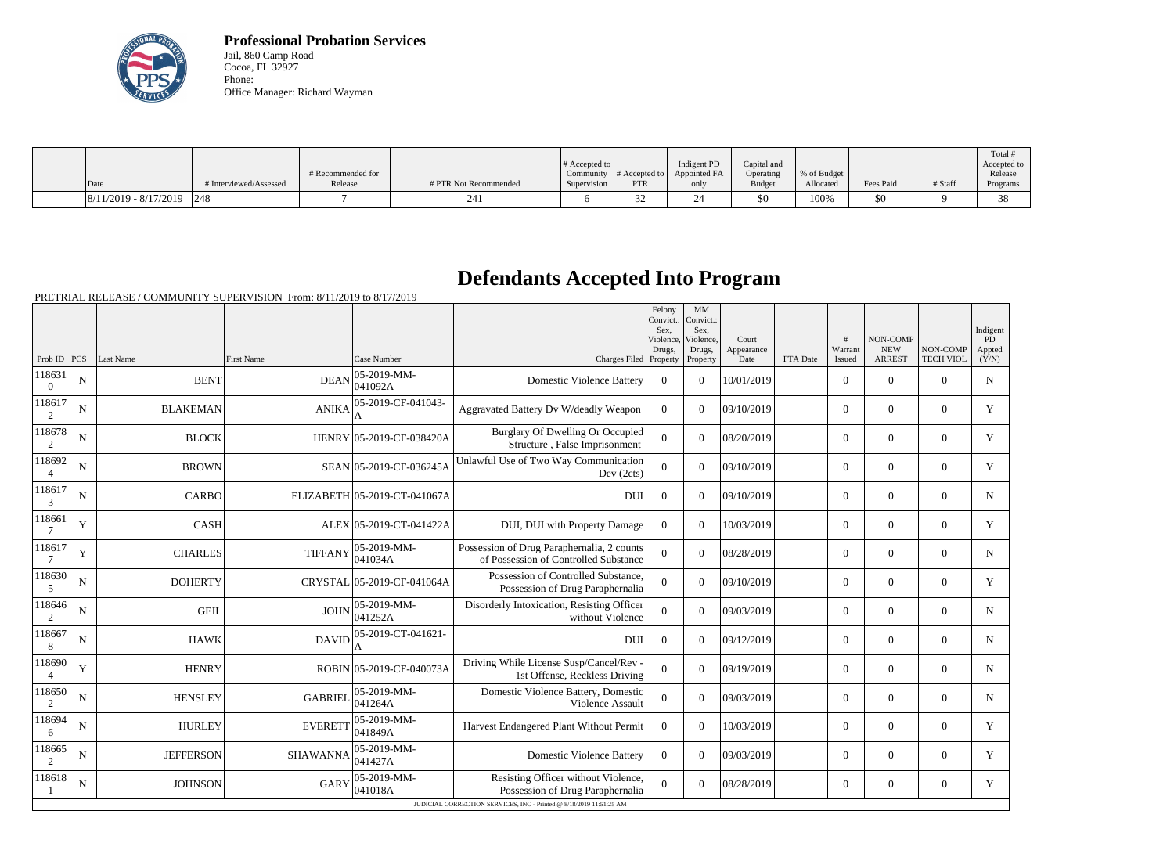

**Professional Probation Services** Jail, 860 Camp Road Cocoa, FL 32927 Phone: Office Manager: Richard Wayman

|                               |                        |                   |                       | # Accepted to $\vert$ |               | Indigent PD  | Capital and   |             |           |         | Total <sup>+</sup>     |
|-------------------------------|------------------------|-------------------|-----------------------|-----------------------|---------------|--------------|---------------|-------------|-----------|---------|------------------------|
|                               |                        | # Recommended for |                       | Community             | # Accepted to | Appointed FA | Operating     | % of Budget |           |         | Accepted to<br>Release |
| Date                          | # Interviewed/Assessed | Release           | # PTR Not Recommended | Supervision           | <b>PTR</b>    | only         | <b>Budget</b> | Allocated   | Fees Paid | # Staff | Programs               |
| $ 8/11/2019 - 8/17/2019 $ 248 |                        |                   | 24                    |                       | ىر            |              | \$0           | 100%        | \$0       |         | $\Omega$               |

## **Defendants Accepted Into Program**

PRETRIAL RELEASE / COMMUNITY SUPERVISION From: 8/11/2019 to 8/17/2019

|                          |             |                  |                   |                                |                                                                                     | Felony<br>Convict.:<br>Sex.<br>Violence. | MM<br>Convict.:<br>Sex.<br>Violence. | Court              |          | #                        | NON-COMP                    |                              | Indigent<br>PD  |
|--------------------------|-------------|------------------|-------------------|--------------------------------|-------------------------------------------------------------------------------------|------------------------------------------|--------------------------------------|--------------------|----------|--------------------------|-----------------------------|------------------------------|-----------------|
| Prob ID                  | PCS         | Last Name        | <b>First Name</b> | Case Number                    | Charges Filed Property                                                              | Drugs.                                   | Drugs,<br>Property                   | Appearance<br>Date | FTA Date | Warrant<br><b>Issued</b> | <b>NEW</b><br><b>ARREST</b> | NON-COMP<br><b>TECH VIOL</b> | Appted<br>(Y/N) |
| 118631<br>$\overline{0}$ | $\mathbf N$ | <b>BENT</b>      | <b>DEAN</b>       | $ 05 - 2019 - MM -$<br>041092A | <b>Domestic Violence Battery</b>                                                    | $\Omega$                                 | $\Omega$                             | 10/01/2019         |          | $\Omega$                 | $\Omega$                    | $\Omega$                     | N               |
| 118617<br>2              | N           | <b>BLAKEMAN</b>  | <b>ANIKA</b>      | 05-2019-CF-041043-             | Aggravated Battery Dv W/deadly Weapon                                               | $\Omega$                                 | $\Omega$                             | 09/10/2019         |          | $\overline{0}$           | $\mathbf{0}$                | $\overline{0}$               | Y               |
| 118678<br>2              | N           | <b>BLOCK</b>     |                   | HENRY 05-2019-CF-038420A       | Burglary Of Dwelling Or Occupied<br>Structure, False Imprisonment                   | $\overline{0}$                           | $\Omega$                             | 08/20/2019         |          | $\overline{0}$           | $\boldsymbol{0}$            | $\overline{0}$               | Y               |
| 118692                   | $\mathbf N$ | <b>BROWN</b>     |                   | SEAN 05-2019-CF-036245A        | Unlawful Use of Two Way Communication<br>Dev (2cts)                                 | $\overline{0}$                           | $\Omega$                             | 09/10/2019         |          | $\overline{0}$           | $\theta$                    | $\overline{0}$               | Y               |
| 118617<br>3              | $\mathbf N$ | <b>CARBO</b>     |                   | ELIZABETH 05-2019-CT-041067A   | <b>DUI</b>                                                                          | $\boldsymbol{0}$                         | $\theta$                             | 09/10/2019         |          | $\overline{0}$           | $\overline{0}$              | $\overline{0}$               | N               |
| 118661                   | Y           | <b>CASH</b>      |                   | ALEX 05-2019-CT-041422A        | DUI, DUI with Property Damage                                                       | $\boldsymbol{0}$                         | $\theta$                             | 10/03/2019         |          | $\overline{0}$           | $\overline{0}$              | $\overline{0}$               | Y               |
| 118617                   | $\mathbf Y$ | <b>CHARLES</b>   | <b>TIFFANY</b>    | 05-2019-MM-<br>041034A         | Possession of Drug Paraphernalia, 2 counts<br>of Possession of Controlled Substance | $\mathbf{0}$                             | $\overline{0}$                       | 08/28/2019         |          | $\overline{0}$           | $\mathbf{0}$                | $\mathbf{0}$                 | N               |
| 118630<br>5              | ${\bf N}$   | <b>DOHERTY</b>   |                   | CRYSTAL 05-2019-CF-041064A     | Possession of Controlled Substance,<br>Possession of Drug Paraphernalia             | $\overline{0}$                           | $\Omega$                             | 09/10/2019         |          | $\overline{0}$           | $\mathbf{0}$                | $\overline{0}$               | Y               |
| 118646<br>2              | $\mathbf N$ | <b>GEIL</b>      | <b>JOHN</b>       | $ 05 - 2019 - MM -$<br>041252A | Disorderly Intoxication, Resisting Officer<br>without Violence                      | $\Omega$                                 | $\Omega$                             | 09/03/2019         |          | $\overline{0}$           | $\overline{0}$              | $\Omega$                     | $\mathbf N$     |
| 118667<br>8              | $\mathbf N$ | <b>HAWK</b>      | <b>DAVID</b>      | 05-2019-CT-041621-             | <b>DUI</b>                                                                          | $\Omega$                                 | $\Omega$                             | 09/12/2019         |          | $\overline{0}$           | $\boldsymbol{0}$            | $\overline{0}$               | $\mathbf N$     |
| 118690                   | $\mathbf Y$ | <b>HENRY</b>     |                   | ROBIN 05-2019-CF-040073A       | Driving While License Susp/Cancel/Rev -<br>1st Offense, Reckless Driving            | $\overline{0}$                           | $\Omega$                             | 09/19/2019         |          | $\overline{0}$           | $\mathbf{0}$                | $\overline{0}$               | $\mathbf N$     |
| 118650<br>2              | $\mathbf N$ | <b>HENSLEY</b>   | <b>GABRIEL</b>    | $ 05 - 2019 - MM -$<br>041264A | Domestic Violence Battery, Domestic<br>Violence Assault                             | $\overline{0}$                           | $\Omega$                             | 09/03/2019         |          | $\overline{0}$           | $\theta$                    | $\overline{0}$               | $\mathbf N$     |
| 118694<br>6              | $\mathbf N$ | <b>HURLEY</b>    | <b>EVERETT</b>    | $ 05 - 2019 - MM -$<br>041849A | Harvest Endangered Plant Without Permit                                             | $\boldsymbol{0}$                         | $\theta$                             | 10/03/2019         |          | $\overline{0}$           | $\overline{0}$              | $\overline{0}$               | Y               |
| 118665<br>2              | ${\bf N}$   | <b>JEFFERSON</b> | <b>SHAWANNA</b>   | $ 05 - 2019 - MM -$<br>041427A | <b>Domestic Violence Battery</b>                                                    | $\boldsymbol{0}$                         | $\Omega$                             | 09/03/2019         |          | $\overline{0}$           | $\theta$                    | $\overline{0}$               | Y               |
| 118618                   | N           | <b>JOHNSON</b>   | <b>GARY</b>       | $ 05-2019-MM-$<br> 041018A     | Resisting Officer without Violence,<br>Possession of Drug Paraphernalia             | $\Omega$                                 | $\overline{0}$                       | 08/28/2019         |          | $\overline{0}$           | $\mathbf{0}$                | $\overline{0}$               | Y               |
|                          |             |                  |                   |                                | JUDICIAL CORRECTION SERVICES, INC - Printed @ 8/18/2019 11:51:25 AM                 |                                          |                                      |                    |          |                          |                             |                              |                 |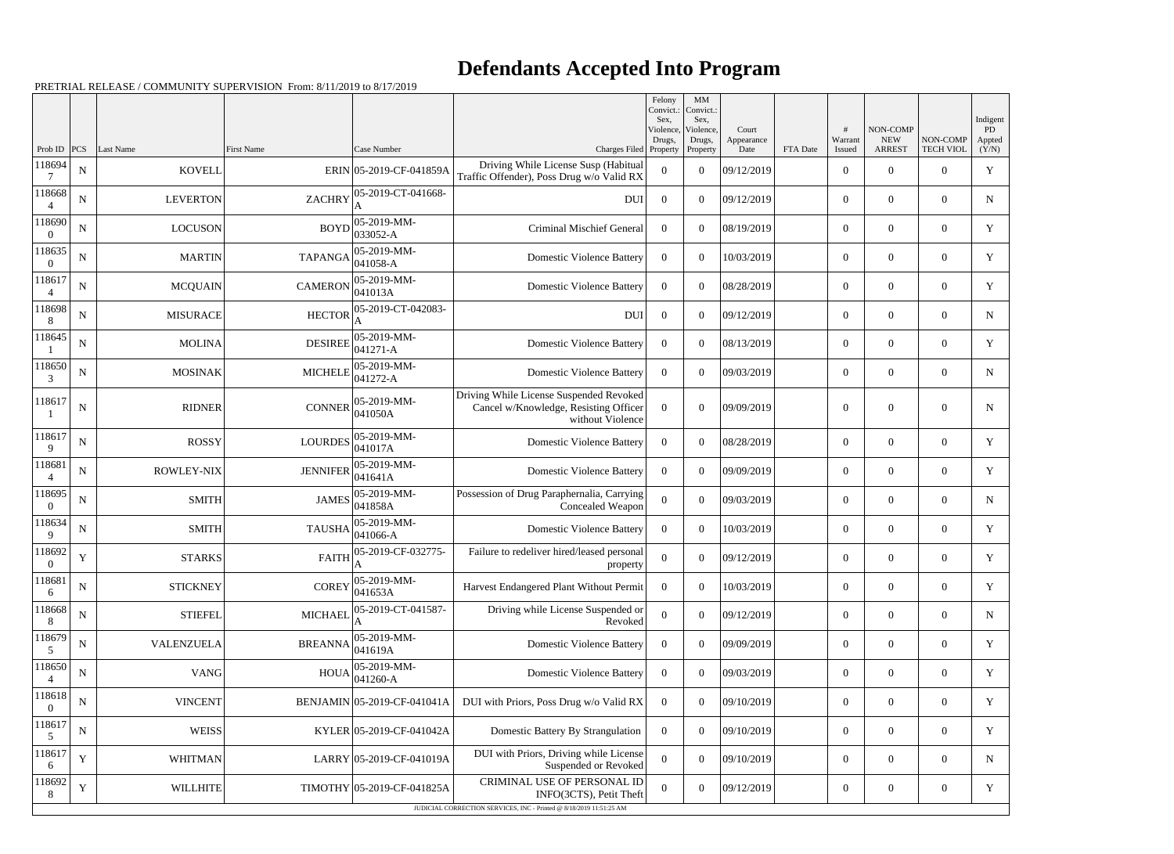## **Defendants Accepted Into Program**

PRETRIAL RELEASE / COMMUNITY SUPERVISION From: 8/11/2019 to 8/17/2019

|                          |             |                   |                   |                             |                                                                                                      | Felony<br>Convict.:         | MM<br>Convict.:             |                     |          |                  |                        |                  |                          |
|--------------------------|-------------|-------------------|-------------------|-----------------------------|------------------------------------------------------------------------------------------------------|-----------------------------|-----------------------------|---------------------|----------|------------------|------------------------|------------------|--------------------------|
|                          |             |                   |                   |                             |                                                                                                      | Sex.<br>Violence,<br>Drugs, | Sex,<br>Violence,<br>Drugs, | Court<br>Appearance |          | Warrant          | NON-COMP<br><b>NEW</b> | NON-COMP         | Indigent<br>PD<br>Appted |
| Prob ID                  | PCS         | Last Name         | <b>First Name</b> | Case Number                 | Charges Filed Property                                                                               |                             | Property                    | Date                | FTA Date | Issued           | <b>ARREST</b>          | <b>TECH VIOL</b> | (Y/N)                    |
| 118694<br>7              | ${\bf N}$   | <b>KOVELL</b>     |                   | ERIN 05-2019-CF-041859A     | Driving While License Susp (Habitual<br>Traffic Offender), Poss Drug w/o Valid RX                    | $\overline{0}$              | $\theta$                    | 09/12/2019          |          | $\overline{0}$   | $\theta$               | $\theta$         | $\mathbf Y$              |
| 118668                   | $\mathbf N$ | <b>LEVERTON</b>   | <b>ZACHRY</b>     | 05-2019-CT-041668-          | <b>DUI</b>                                                                                           | $\overline{0}$              | $\theta$                    | 09/12/2019          |          | $\overline{0}$   | $\overline{0}$         | $\overline{0}$   | $\mathbf N$              |
| 118690<br>$\theta$       | ${\bf N}$   | <b>LOCUSON</b>    | <b>BOYD</b>       | 05-2019-MM-<br>033052-A     | <b>Criminal Mischief General</b>                                                                     | $\overline{0}$              | $\theta$                    | 08/19/2019          |          | $\overline{0}$   | $\theta$               | $\overline{0}$   | Y                        |
| 118635<br>$\Omega$       | ${\bf N}$   | <b>MARTIN</b>     | <b>TAPANGA</b>    | 05-2019-MM-<br>$041058 - A$ | <b>Domestic Violence Battery</b>                                                                     | $\overline{0}$              | $\Omega$                    | 10/03/2019          |          | $\overline{0}$   | $\overline{0}$         | $\overline{0}$   | $\mathbf Y$              |
| 118617<br>$\overline{4}$ | ${\bf N}$   | <b>MCQUAIN</b>    | <b>CAMERON</b>    | 05-2019-MM-<br>041013A      | <b>Domestic Violence Battery</b>                                                                     | $\overline{0}$              | $\theta$                    | 08/28/2019          |          | $\overline{0}$   | $\theta$               | $\overline{0}$   | Y                        |
| 118698<br>8              | $\mathbf N$ | <b>MISURACE</b>   | <b>HECTOR</b>     | 05-2019-CT-042083-          | <b>DUI</b>                                                                                           | $\overline{0}$              | $\theta$                    | 09/12/2019          |          | $\overline{0}$   | $\overline{0}$         | $\overline{0}$   | $\mathbf N$              |
| 118645                   | ${\bf N}$   | <b>MOLINA</b>     | <b>DESIREE</b>    | 05-2019-MM-<br>041271-A     | <b>Domestic Violence Battery</b>                                                                     | $\overline{0}$              | $\theta$                    | 08/13/2019          |          | $\overline{0}$   | $\theta$               | $\overline{0}$   | Y                        |
| 118650<br>3              | $\mathbf N$ | <b>MOSINAK</b>    | <b>MICHELE</b>    | 05-2019-MM-<br>041272-A     | <b>Domestic Violence Battery</b>                                                                     | $\overline{0}$              | $\theta$                    | 09/03/2019          |          | $\overline{0}$   | $\overline{0}$         | $\overline{0}$   | ${\bf N}$                |
| 118617                   | $\mathbf N$ | <b>RIDNER</b>     | <b>CONNER</b>     | 05-2019-MM-<br>041050A      | Driving While License Suspended Revoked<br>Cancel w/Knowledge, Resisting Officer<br>without Violence | $\overline{0}$              | $\boldsymbol{0}$            | 09/09/2019          |          | $\theta$         | $\theta$               | $\overline{0}$   | N                        |
| 118617<br>9              | $\mathbf N$ | <b>ROSSY</b>      | <b>LOURDES</b>    | 05-2019-MM-<br>041017A      | <b>Domestic Violence Battery</b>                                                                     | $\Omega$                    | $\theta$                    | 08/28/2019          |          | $\overline{0}$   | $\overline{0}$         | $\overline{0}$   | Y                        |
| 118681<br>$\overline{4}$ | ${\bf N}$   | <b>ROWLEY-NIX</b> | <b>JENNIFER</b>   | 05-2019-MM-<br>041641A      | <b>Domestic Violence Battery</b>                                                                     | $\overline{0}$              | $\boldsymbol{0}$            | 09/09/2019          |          | $\overline{0}$   | $\overline{0}$         | $\overline{0}$   | $\mathbf Y$              |
| 118695<br>$\Omega$       | ${\bf N}$   | <b>SMITH</b>      | <b>JAMES</b>      | 05-2019-MM-<br>041858A      | Possession of Drug Paraphernalia, Carrying<br>Concealed Weapon                                       | $\boldsymbol{0}$            | $\overline{0}$              | 09/03/2019          |          | $\overline{0}$   | $\overline{0}$         | $\overline{0}$   | N                        |
| 118634<br>9              | ${\bf N}$   | <b>SMITH</b>      | <b>TAUSHA</b>     | 05-2019-MM-<br>041066-A     | <b>Domestic Violence Battery</b>                                                                     | $\overline{0}$              | $\overline{0}$              | 10/03/2019          |          | $\boldsymbol{0}$ | $\overline{0}$         | $\overline{0}$   | Y                        |
| 118692<br>$\overline{0}$ | $\mathbf Y$ | <b>STARKS</b>     | <b>FAITH</b>      | 05-2019-CF-032775-<br>A     | Failure to redeliver hired/leased personal<br>property                                               | $\boldsymbol{0}$            | $\overline{0}$              | 09/12/2019          |          | $\overline{0}$   | $\overline{0}$         | $\overline{0}$   | Y                        |
| 118681<br>6              | ${\bf N}$   | <b>STICKNEY</b>   | <b>COREY</b>      | 05-2019-MM-<br>041653A      | Harvest Endangered Plant Without Permit                                                              | $\overline{0}$              | $\boldsymbol{0}$            | 10/03/2019          |          | $\boldsymbol{0}$ | $\boldsymbol{0}$       | $\overline{0}$   | Y                        |
| 118668<br>8              | $\mathbf N$ | <b>STIEFEL</b>    | <b>MICHAEI</b>    | 05-2019-CT-041587-          | Driving while License Suspended or<br>Revoked                                                        | $\mathbf{0}$                | $\boldsymbol{0}$            | 09/12/2019          |          | $\boldsymbol{0}$ | $\boldsymbol{0}$       | $\boldsymbol{0}$ | $\mathbf N$              |
| 118679<br>5              | ${\bf N}$   | VALENZUELA        | <b>BREANNA</b>    | 05-2019-MM-<br>041619A      | <b>Domestic Violence Battery</b>                                                                     | $\overline{0}$              | $\boldsymbol{0}$            | 09/09/2019          |          | $\boldsymbol{0}$ | $\boldsymbol{0}$       | $\overline{0}$   | Y                        |
| 118650                   | $\mathbf N$ | VANG              | <b>HOUA</b>       | 05-2019-MM-<br>041260-A     | <b>Domestic Violence Battery</b>                                                                     | $\overline{0}$              | $\mathbf{0}$                | 09/03/2019          |          | $\boldsymbol{0}$ | $\boldsymbol{0}$       | $\boldsymbol{0}$ | Y                        |
| 118618<br>$\theta$       | ${\bf N}$   | <b>VINCENT</b>    |                   | BENJAMIN 05-2019-CF-041041A | DUI with Priors, Poss Drug w/o Valid RX                                                              | $\overline{0}$              | $\boldsymbol{0}$            | 09/10/2019          |          | $\boldsymbol{0}$ | $\overline{0}$         | $\overline{0}$   | Y                        |
| 118617<br>5              | ${\bf N}$   | <b>WEISS</b>      |                   | KYLER 05-2019-CF-041042A    | Domestic Battery By Strangulation                                                                    | $\overline{0}$              | $\boldsymbol{0}$            | 09/10/2019          |          | $\boldsymbol{0}$ | $\overline{0}$         | $\boldsymbol{0}$ | Y                        |
| 118617<br>6              | $\mathbf Y$ | <b>WHITMAN</b>    |                   | LARRY 05-2019-CF-041019A    | DUI with Priors, Driving while License<br>Suspended or Revoked                                       | $\mathbf{0}$                | $\boldsymbol{0}$            | 09/10/2019          |          | $\boldsymbol{0}$ | $\boldsymbol{0}$       | $\overline{0}$   | $\mathbf N$              |
| 118692<br>8              | Y           | <b>WILLHITE</b>   |                   | TIMOTHY 05-2019-CF-041825A  | CRIMINAL USE OF PERSONAL ID<br>INFO(3CTS), Petit Theft                                               | $\mathbf{0}$                | $\boldsymbol{0}$            | 09/12/2019          |          | $\boldsymbol{0}$ | $\boldsymbol{0}$       | $\boldsymbol{0}$ | Y                        |
|                          |             |                   |                   |                             | JUDICIAL CORRECTION SERVICES, INC - Printed @ 8/18/2019 11:51:25 AM                                  |                             |                             |                     |          |                  |                        |                  |                          |